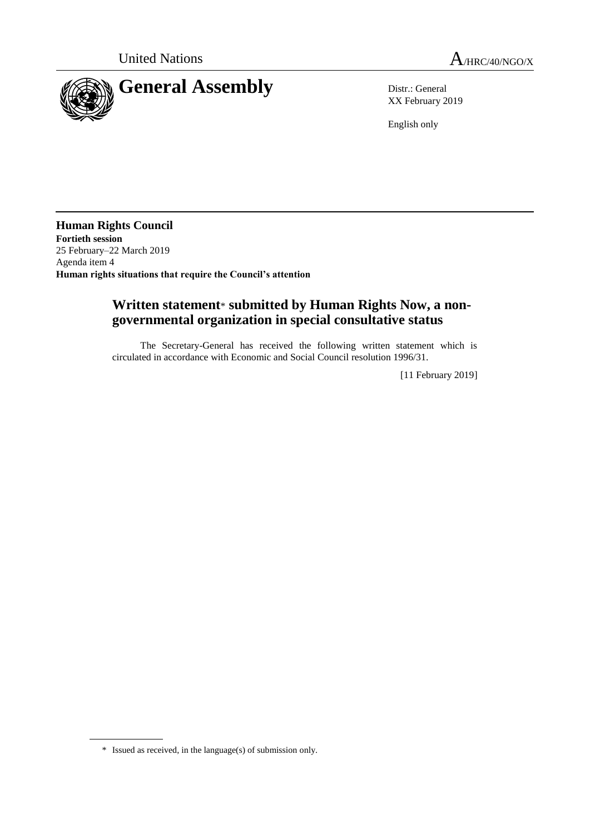

XX February 2019

English only

**Human Rights Council Fortieth session** 25 February–22 March 2019 Agenda item 4 **Human rights situations that require the Council's attention**

## **Written statement**\* **submitted by Human Rights Now, a nongovernmental organization in special consultative status**

The Secretary-General has received the following written statement which is circulated in accordance with Economic and Social Council resolution 1996/31.

[11 February 2019]

<sup>\*</sup> Issued as received, in the language(s) of submission only.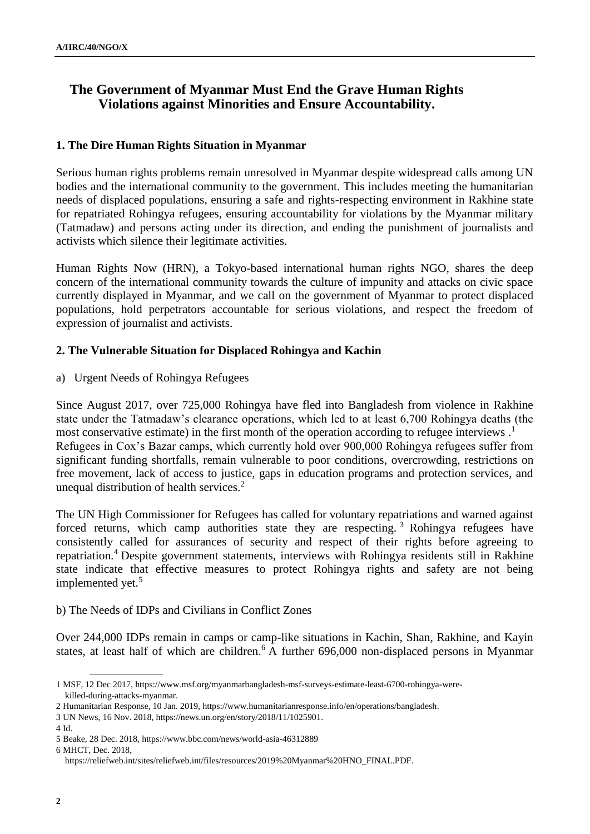# **The Government of Myanmar Must End the Grave Human Rights Violations against Minorities and Ensure Accountability.**

#### **1. The Dire Human Rights Situation in Myanmar**

Serious human rights problems remain unresolved in Myanmar despite widespread calls among UN bodies and the international community to the government. This includes meeting the humanitarian needs of displaced populations, ensuring a safe and rights-respecting environment in Rakhine state for repatriated Rohingya refugees, ensuring accountability for violations by the Myanmar military (Tatmadaw) and persons acting under its direction, and ending the punishment of journalists and activists which silence their legitimate activities.

Human Rights Now (HRN), a Tokyo-based international human rights NGO, shares the deep concern of the international community towards the culture of impunity and attacks on civic space currently displayed in Myanmar, and we call on the government of Myanmar to protect displaced populations, hold perpetrators accountable for serious violations, and respect the freedom of expression of journalist and activists.

#### **2. The Vulnerable Situation for Displaced Rohingya and Kachin**

a) Urgent Needs of Rohingya Refugees

Since August 2017, over 725,000 Rohingya have fled into Bangladesh from violence in Rakhine state under the Tatmadaw's clearance operations, which led to at least 6,700 Rohingya deaths (the most conservative estimate) in the first month of the operation according to refugee interviews.<sup>1</sup> Refugees in Cox's Bazar camps, which currently hold over 900,000 Rohingya refugees suffer from significant funding shortfalls, remain vulnerable to poor conditions, overcrowding, restrictions on free movement, lack of access to justice, gaps in education programs and protection services, and unequal distribution of health services.<sup>2</sup>

The UN High Commissioner for Refugees has called for voluntary repatriations and warned against forced returns, which camp authorities state they are respecting. <sup>3</sup> Rohingya refugees have consistently called for assurances of security and respect of their rights before agreeing to repatriation.<sup>4</sup> Despite government statements, interviews with Rohingya residents still in Rakhine state indicate that effective measures to protect Rohingya rights and safety are not being implemented yet.<sup>5</sup>

#### b) The Needs of IDPs and Civilians in Conflict Zones

Over 244,000 IDPs remain in camps or camp-like situations in Kachin, Shan, Rakhine, and Kayin states, at least half of which are children.<sup>6</sup> A further 696,000 non-displaced persons in Myanmar

<sup>1</sup> MSF, 12 Dec 2017, https://www.msf.org/myanmarbangladesh-msf-surveys-estimate-least-6700-rohingya-werekilled-during-attacks-myanmar.

<sup>2</sup> Humanitarian Response, 10 Jan. 2019, https://www.humanitarianresponse.info/en/operations/bangladesh.

<sup>3</sup> UN News, 16 Nov. 2018, https://news.un.org/en/story/2018/11/1025901.

<sup>4</sup> Id.

<sup>5</sup> Beake, 28 Dec. 2018, https://www.bbc.com/news/world-asia-46312889

<sup>6</sup> MHCT, Dec. 2018,

https://reliefweb.int/sites/reliefweb.int/files/resources/2019%20Myanmar%20HNO\_FINAL.PDF.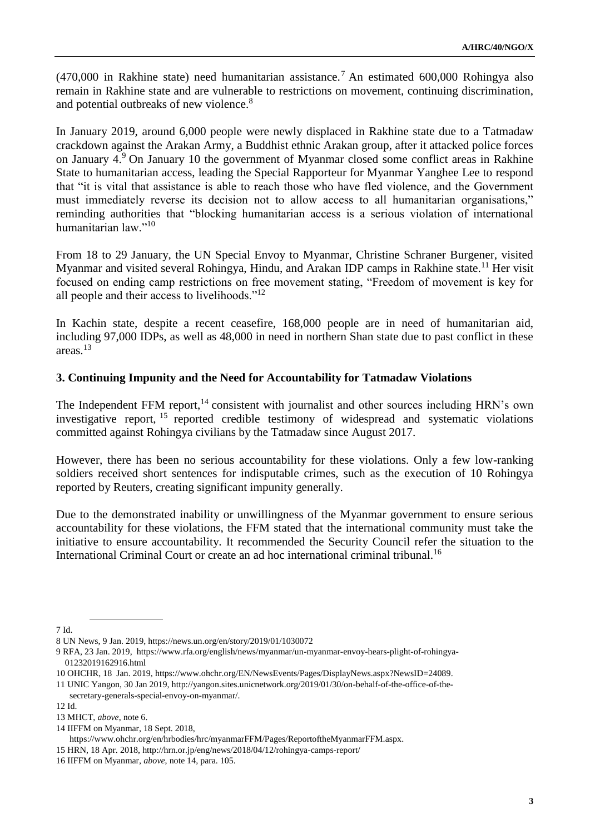$(470,000)$  in Rakhine state) need humanitarian assistance.<sup>7</sup> An estimated 600,000 Rohingya also remain in Rakhine state and are vulnerable to restrictions on movement, continuing discrimination, and potential outbreaks of new violence.<sup>8</sup>

In January 2019, around 6,000 people were newly displaced in Rakhine state due to a Tatmadaw crackdown against the Arakan Army, a Buddhist ethnic Arakan group, after it attacked police forces on January 4.<sup>9</sup> On January 10 the government of Myanmar closed some conflict areas in Rakhine State to humanitarian access, leading the Special Rapporteur for Myanmar Yanghee Lee to respond that "it is vital that assistance is able to reach those who have fled violence, and the Government must immediately reverse its decision not to allow access to all humanitarian organisations," reminding authorities that "blocking humanitarian access is a serious violation of international humanitarian law."<sup>10</sup>

From 18 to 29 January, the UN Special Envoy to Myanmar, Christine Schraner Burgener, visited Myanmar and visited several Rohingya, Hindu, and Arakan IDP camps in Rakhine state.<sup>11</sup> Her visit focused on ending camp restrictions on free movement stating, "Freedom of movement is key for all people and their access to livelihoods."<sup>12</sup>

In Kachin state, despite a recent ceasefire, 168,000 people are in need of humanitarian aid, including 97,000 IDPs, as well as 48,000 in need in northern Shan state due to past conflict in these areas.<sup>13</sup>

## **3. Continuing Impunity and the Need for Accountability for Tatmadaw Violations**

The Independent FFM report, $^{14}$  consistent with journalist and other sources including HRN's own investigative report, <sup>15</sup> reported credible testimony of widespread and systematic violations committed against Rohingya civilians by the Tatmadaw since August 2017.

However, there has been no serious accountability for these violations. Only a few low-ranking soldiers received short sentences for indisputable crimes, such as the execution of 10 Rohingya reported by Reuters, creating significant impunity generally.

Due to the demonstrated inability or unwillingness of the Myanmar government to ensure serious accountability for these violations, the FFM stated that the international community must take the initiative to ensure accountability. It recommended the Security Council refer the situation to the International Criminal Court or create an ad hoc international criminal tribunal.<sup>16</sup>

7 Id.

12 Id.

<sup>8</sup> UN News, 9 Jan. 2019, https://news.un.org/en/story/2019/01/1030072

<sup>9</sup> RFA, 23 Jan. 2019, https://www.rfa.org/english/news/myanmar/un-myanmar-envoy-hears-plight-of-rohingya-01232019162916.html

<sup>10</sup> OHCHR, 18 Jan. 2019, https://www.ohchr.org/EN/NewsEvents/Pages/DisplayNews.aspx?NewsID=24089.

<sup>11</sup> UNIC Yangon, 30 Jan 2019, http://yangon.sites.unicnetwork.org/2019/01/30/on-behalf-of-the-office-of-thesecretary-generals-special-envoy-on-myanmar/.

<sup>13</sup> MHCT, *above*, note 6.

<sup>14</sup> IIFFM on Myanmar, 18 Sept. 2018,

https://www.ohchr.org/en/hrbodies/hrc/myanmarFFM/Pages/ReportoftheMyanmarFFM.aspx.

<sup>15</sup> HRN, 18 Apr. 2018, http://hrn.or.jp/eng/news/2018/04/12/rohingya-camps-report/

<sup>16</sup> IIFFM on Myanmar, *above*, note 14, para. 105.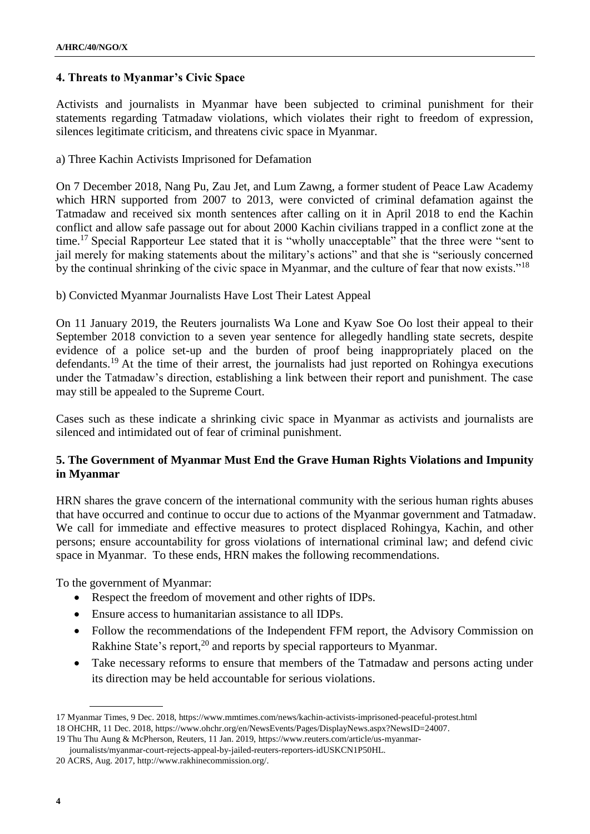## **4. Threats to Myanmar's Civic Space**

Activists and journalists in Myanmar have been subjected to criminal punishment for their statements regarding Tatmadaw violations, which violates their right to freedom of expression, silences legitimate criticism, and threatens civic space in Myanmar.

a) Three Kachin Activists Imprisoned for Defamation

On 7 December 2018, Nang Pu, Zau Jet, and Lum Zawng, a former student of Peace Law Academy which HRN supported from 2007 to 2013, were convicted of criminal defamation against the Tatmadaw and received six month sentences after calling on it in April 2018 to end the Kachin conflict and allow safe passage out for about 2000 Kachin civilians trapped in a conflict zone at the time.<sup>17</sup> Special Rapporteur Lee stated that it is "wholly unacceptable" that the three were "sent to jail merely for making statements about the military's actions" and that she is "seriously concerned by the continual shrinking of the civic space in Myanmar, and the culture of fear that now exists."<sup>18</sup>

### b) Convicted Myanmar Journalists Have Lost Their Latest Appeal

On 11 January 2019, the Reuters journalists Wa Lone and Kyaw Soe Oo lost their appeal to their September 2018 conviction to a seven year sentence for allegedly handling state secrets, despite evidence of a police set-up and the burden of proof being inappropriately placed on the defendants.<sup>19</sup> At the time of their arrest, the journalists had just reported on Rohingya executions under the Tatmadaw's direction, establishing a link between their report and punishment. The case may still be appealed to the Supreme Court.

Cases such as these indicate a shrinking civic space in Myanmar as activists and journalists are silenced and intimidated out of fear of criminal punishment.

## **5. The Government of Myanmar Must End the Grave Human Rights Violations and Impunity in Myanmar**

HRN shares the grave concern of the international community with the serious human rights abuses that have occurred and continue to occur due to actions of the Myanmar government and Tatmadaw. We call for immediate and effective measures to protect displaced Rohingya, Kachin, and other persons; ensure accountability for gross violations of international criminal law; and defend civic space in Myanmar. To these ends, HRN makes the following recommendations.

To the government of Myanmar:

- Respect the freedom of movement and other rights of IDPs.
- Ensure access to humanitarian assistance to all IDPs.
- Follow the recommendations of the Independent FFM report, the Advisory Commission on Rakhine State's report,<sup>20</sup> and reports by special rapporteurs to Myanmar.
- Take necessary reforms to ensure that members of the Tatmadaw and persons acting under its direction may be held accountable for serious violations.

<sup>17</sup> Myanmar Times, 9 Dec. 2018, https://www.mmtimes.com/news/kachin-activists-imprisoned-peaceful-protest.html

<sup>18</sup> OHCHR, 11 Dec. 2018, https://www.ohchr.org/en/NewsEvents/Pages/DisplayNews.aspx?NewsID=24007.

<sup>19</sup> Thu Thu Aung & McPherson, Reuters, 11 Jan. 2019, https://www.reuters.com/article/us-myanmar-

journalists/myanmar-court-rejects-appeal-by-jailed-reuters-reporters-idUSKCN1P50HL.

<sup>20</sup> ACRS, Aug. 2017, http://www.rakhinecommission.org/.